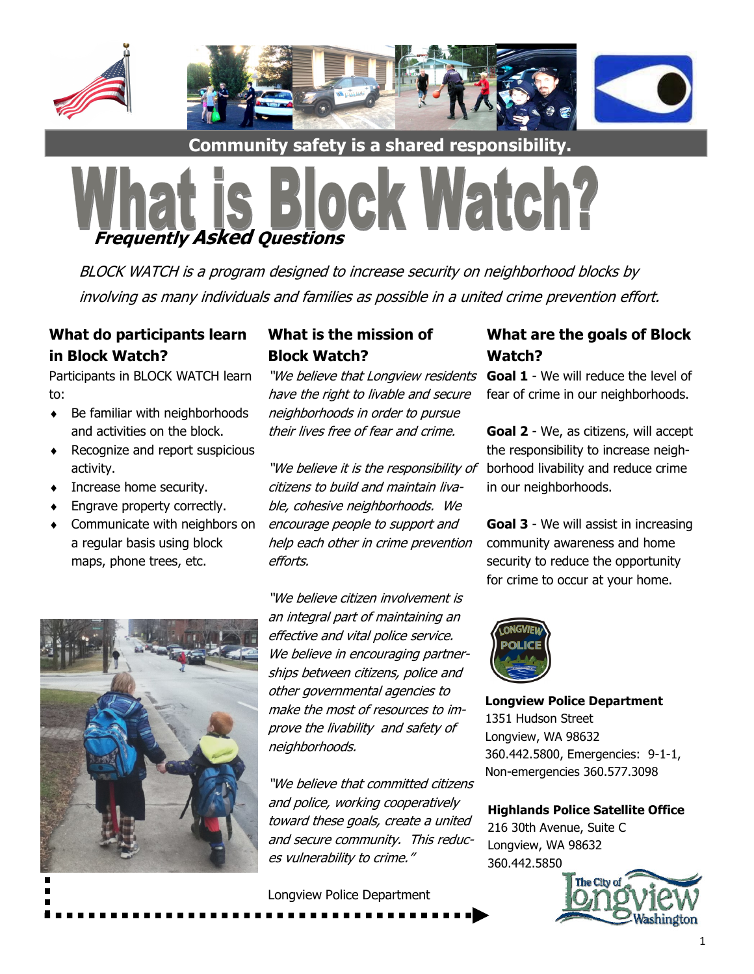

**Community safety is a shared responsibility.**



BLOCK WATCH is a program designed to increase security on neighborhood blocks by involving as many individuals and families as possible in a united crime prevention effort.

### **What do participants learn in Block Watch?**

Participants in BLOCK WATCH learn to:

- $\triangleleft$  Be familiar with neighborhoods and activities on the block.
- Recognize and report suspicious activity.
- Increase home security.
- Engrave property correctly.
- Communicate with neighbors on a regular basis using block maps, phone trees, etc.

### **What is the mission of Block Watch?**

"We believe that Longview residents **Goal 1** - We will reduce the level of have the right to livable and secure neighborhoods in order to pursue their lives free of fear and crime.

"We believe it is the responsibility of borhood livability and reduce crime citizens to build and maintain livable, cohesive neighborhoods. We encourage people to support and help each other in crime prevention efforts.



"We believe citizen involvement is an integral part of maintaining an effective and vital police service. We believe in encouraging partnerships between citizens, police and other governmental agencies to make the most of resources to improve the livability and safety of neighborhoods.

"We believe that committed citizens and police, working cooperatively toward these goals, create a united and secure community. This reduces vulnerability to crime."

Longview Police Department

## **What are the goals of Block Watch?**

fear of crime in our neighborhoods.

**Goal 2** - We, as citizens, will accept the responsibility to increase neighin our neighborhoods.

**Goal 3** - We will assist in increasing community awareness and home security to reduce the opportunity for crime to occur at your home.



**Longview Police Department** 1351 Hudson Street Longview, WA 98632 360.442.5800, Emergencies: 9-1-1, Non-emergencies 360.577.3098

# **Highlands Police Satellite Office**

216 30th Avenue, Suite C Longview, WA 98632 360.442.5850